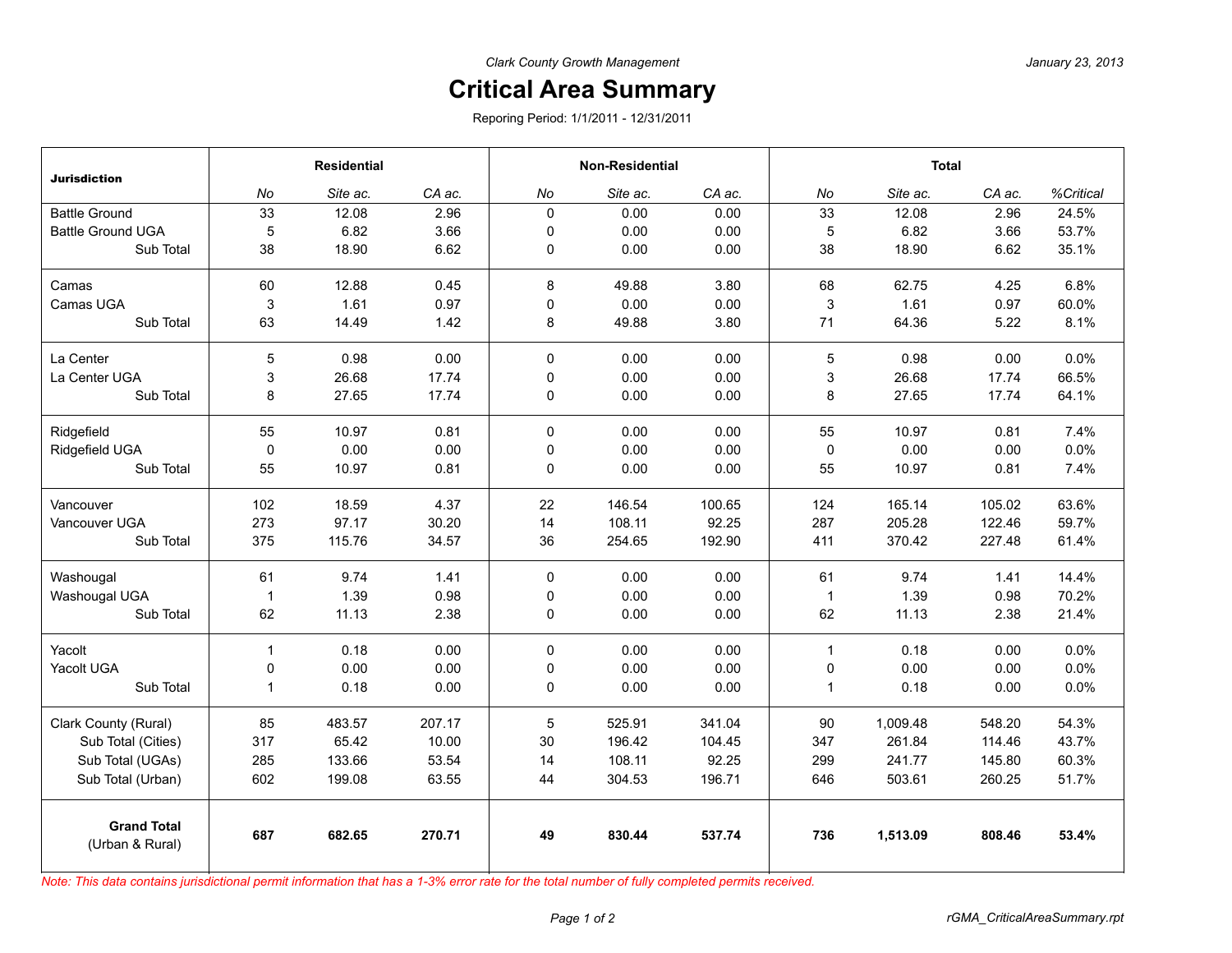## **Critical Area Summary**

Reporing Period: 1/1/2011 - 12/31/2011

| <b>Jurisdiction</b>                   | <b>Residential</b> |          |        | <b>Non-Residential</b> |          |        | <b>Total</b>   |          |        |           |
|---------------------------------------|--------------------|----------|--------|------------------------|----------|--------|----------------|----------|--------|-----------|
|                                       | No                 | Site ac. | CA ac. | No                     | Site ac. | CA ac. | No             | Site ac. | CA ac. | %Critical |
| <b>Battle Ground</b>                  | 33                 | 12.08    | 2.96   | $\mathbf 0$            | 0.00     | 0.00   | 33             | 12.08    | 2.96   | 24.5%     |
| <b>Battle Ground UGA</b>              | 5                  | 6.82     | 3.66   | $\mathbf 0$            | 0.00     | 0.00   | 5              | 6.82     | 3.66   | 53.7%     |
| Sub Total                             | 38                 | 18.90    | 6.62   | 0                      | 0.00     | 0.00   | 38             | 18.90    | 6.62   | 35.1%     |
| Camas                                 | 60                 | 12.88    | 0.45   | 8                      | 49.88    | 3.80   | 68             | 62.75    | 4.25   | 6.8%      |
| Camas UGA                             | 3                  | 1.61     | 0.97   | 0                      | 0.00     | 0.00   | 3              | 1.61     | 0.97   | 60.0%     |
| Sub Total                             | 63                 | 14.49    | 1.42   | 8                      | 49.88    | 3.80   | 71             | 64.36    | 5.22   | 8.1%      |
| La Center                             | 5                  | 0.98     | 0.00   | $\mathbf 0$            | 0.00     | 0.00   | $\overline{5}$ | 0.98     | 0.00   | 0.0%      |
| La Center UGA                         | 3                  | 26.68    | 17.74  | 0                      | 0.00     | 0.00   | 3              | 26.68    | 17.74  | 66.5%     |
| Sub Total                             | 8                  | 27.65    | 17.74  | $\mathbf 0$            | 0.00     | 0.00   | 8              | 27.65    | 17.74  | 64.1%     |
| Ridgefield                            | 55                 | 10.97    | 0.81   | $\Omega$               | 0.00     | 0.00   | 55             | 10.97    | 0.81   | 7.4%      |
| Ridgefield UGA                        | $\mathsf 0$        | 0.00     | 0.00   | 0                      | 0.00     | 0.00   | 0              | 0.00     | 0.00   | 0.0%      |
| Sub Total                             | 55                 | 10.97    | 0.81   | $\mathbf 0$            | 0.00     | 0.00   | 55             | 10.97    | 0.81   | 7.4%      |
| Vancouver                             | 102                | 18.59    | 4.37   | 22                     | 146.54   | 100.65 | 124            | 165.14   | 105.02 | 63.6%     |
| Vancouver UGA                         | 273                | 97.17    | 30.20  | 14                     | 108.11   | 92.25  | 287            | 205.28   | 122.46 | 59.7%     |
| Sub Total                             | 375                | 115.76   | 34.57  | 36                     | 254.65   | 192.90 | 411            | 370.42   | 227.48 | 61.4%     |
| Washougal                             | 61                 | 9.74     | 1.41   | $\Omega$               | 0.00     | 0.00   | 61             | 9.74     | 1.41   | 14.4%     |
| Washougal UGA                         | $\mathbf{1}$       | 1.39     | 0.98   | $\mathbf 0$            | 0.00     | 0.00   | $\mathbf{1}$   | 1.39     | 0.98   | 70.2%     |
| Sub Total                             | 62                 | 11.13    | 2.38   | $\mathbf 0$            | 0.00     | 0.00   | 62             | 11.13    | 2.38   | 21.4%     |
| Yacolt                                | $\mathbf{1}$       | 0.18     | 0.00   | $\Omega$               | 0.00     | 0.00   | $\mathbf{1}$   | 0.18     | 0.00   | 0.0%      |
| Yacolt UGA                            | 0                  | 0.00     | 0.00   | 0                      | 0.00     | 0.00   | 0              | 0.00     | 0.00   | 0.0%      |
| Sub Total                             | $\mathbf{1}$       | 0.18     | 0.00   | 0                      | 0.00     | 0.00   | $\mathbf{1}$   | 0.18     | 0.00   | 0.0%      |
| Clark County (Rural)                  | 85                 | 483.57   | 207.17 | 5                      | 525.91   | 341.04 | 90             | 1,009.48 | 548.20 | 54.3%     |
| Sub Total (Cities)                    | 317                | 65.42    | 10.00  | 30                     | 196.42   | 104.45 | 347            | 261.84   | 114.46 | 43.7%     |
| Sub Total (UGAs)                      | 285                | 133.66   | 53.54  | 14                     | 108.11   | 92.25  | 299            | 241.77   | 145.80 | 60.3%     |
| Sub Total (Urban)                     | 602                | 199.08   | 63.55  | 44                     | 304.53   | 196.71 | 646            | 503.61   | 260.25 | 51.7%     |
| <b>Grand Total</b><br>(Urban & Rural) | 687                | 682.65   | 270.71 | 49                     | 830.44   | 537.74 | 736            | 1,513.09 | 808.46 | 53.4%     |

*Note: This data contains jurisdictional permit information that has a 1-3% error rate for the total number of fully completed permits received.*